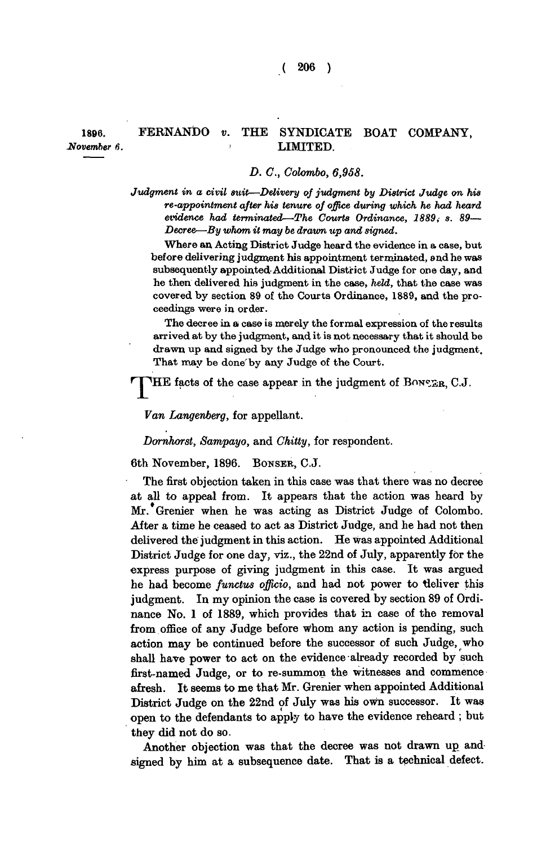## **1896. FERNANDO** *v.* **THE SYNDICATE BOAT COMPANY,**  *November 6.* **LIMITED.**

## *D. C, Colombo, 6,958.*

*Judgment in a civil suit—Delivery of judgment by District Judge on his re-appointment after his tenure of office during which he had heard evidence had terminated—The Courts Ordinance, 1889*, s. 89— *Decree—By whom it may be drawn up and signed.* 

**Where an Acting District Judge heard the evidence in a case, but before delivering judgment his appointment terminated, and he was subsequently appointed Additional District Judge for one day, and he then delivered his judgment in the case,** *held,* **that the case was covered by section 89 of the Courts Ordinance, 1889, and the proceedings were in order.** 

**The decree in a case is merely the formal expression of the results arrived at by the judgment, and it is not necessary that it should be drawn up and signed by the Judge who pronounced the judgment. That may be done'by any Judge of the Court.** 

r **HE** facts of the case appear in the judgment of BONSER, C.J.

*Van Langenberg,* **for appellant.** 

*Domhorst, Sampayo,* **and** *Chilly,* **for respondent.** 

**6th November, 1896. BONSER , C.J.** 

**The first objection taken in this case was that there was no decree at all to appeal from. It appears that the action was heard by Mr. Grenier when he was acting as District Judge of Colombo. After a time he ceased to act as District Judge, and he had not then delivered the judgment in this action. He was appointed Additional District Judge for one day, viz., the 22nd of July, apparently for the express purpose of giving judgment in this case. It was argued he had become** *functus officio,* **and had not power to tleliver this judgment. In my opinion the case is covered by section 89 of Ordinance No. 1 of 1889, which provides that in case of the removal from office of any Judge before whom any action is pending, such action may be continued before the successor of such Judge, who shall have power to act on the evidence already recorded by such first-named Judge, or to re-summon the witnesses and commence afresh. It seems to me that Mr. Grenier when appointed Additional District Judge on the 22nd of July was his own successor. It was open to the defendants to apply to have the evidence reheard ; but they did not do so.** 

**Another objection was that the decree was not drawn up and signed by him at a subsequence date. That is a technical defect.**